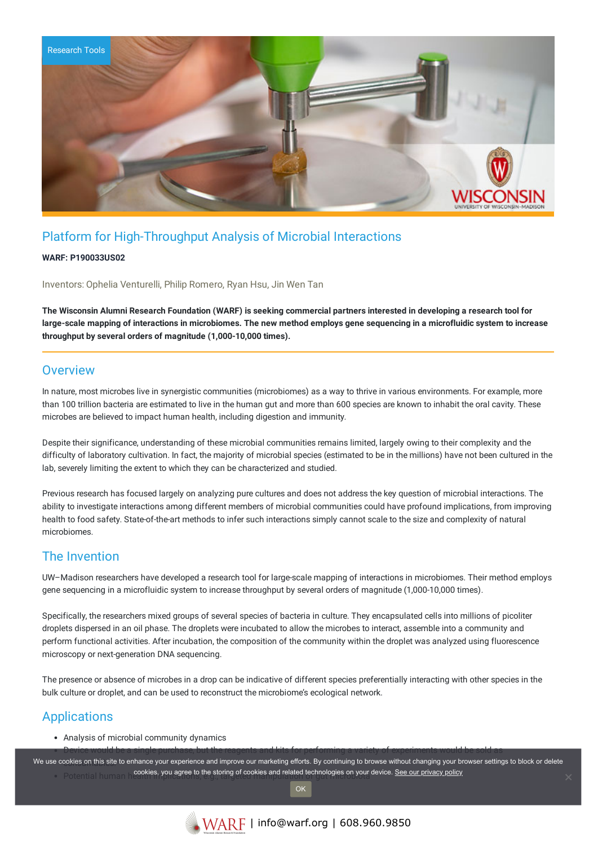

# Platform for High-Throughput Analysis of Microbial Interactions

#### **WARF: P190033US02**

Inventors: Ophelia Venturelli, Philip Romero, Ryan Hsu, Jin Wen Tan

The Wisconsin Alumni Research Foundation (WARF) is seeking commercial partners interested in developing a research tool for large-scale mapping of interactions in microbiomes. The new method employs gene sequencing in a microfluidic system to increase **throughput by several orders of magnitude (1,000-10,000 times).**

## **Overview**

In nature, most microbes live in synergistic communities (microbiomes) as a way to thrive in various environments. For example, more than 100 trillion bacteria are estimated to live in the human gut and more than 600 species are known to inhabit the oral cavity. These microbes are believed to impact human health, including digestion and immunity.

Despite their significance, understanding of these microbial communities remains limited, largely owing to their complexity and the difficulty of laboratory cultivation. In fact, the majority of microbial species (estimated to be in the millions) have not been cultured in the lab, severely limiting the extent to which they can be characterized and studied.

Previous research has focused largely on analyzing pure cultures and does not address the key question of microbial interactions. The ability to investigate interactions among different members of microbial communities could have profound implications, from improving health to food safety. State-of-the-art methods to infer such interactions simply cannot scale to the size and complexity of natural microbiomes.

## The Invention

UW–Madison researchers have developed a research tool for large-scale mapping of interactions in microbiomes. Their method employs gene sequencing in a microfluidic system to increase throughput by several orders of magnitude (1,000-10,000 times).

Specifically, the researchers mixed groups of several species of bacteria in culture. They encapsulated cells into millions of picoliter droplets dispersed in an oil phase. The droplets were incubated to allow the microbes to interact, assemble into a community and perform functional activities. After incubation, the composition of the community within the droplet was analyzed using fluorescence microscopy or next-generation DNA sequencing.

The presence or absence of microbes in a drop can be indicative of different species preferentially interacting with other species in the bulk culture or droplet, and can be used to reconstruct the microbiome's ecological network.

## **Applications**

Analysis of microbial community dynamics

Device would be a single purchase, but the reagents and kits for performing a variety of experiments would be sold as We use cookies on this site to enhance your experience and improve our marketing efforts. By continuing to browse without changing your browser settings to block or delete Potential human cookies, you agree to the storing of cookies and related technologies on your device. [See our privacy policy](https://www.warf.org/privacy-policy/)